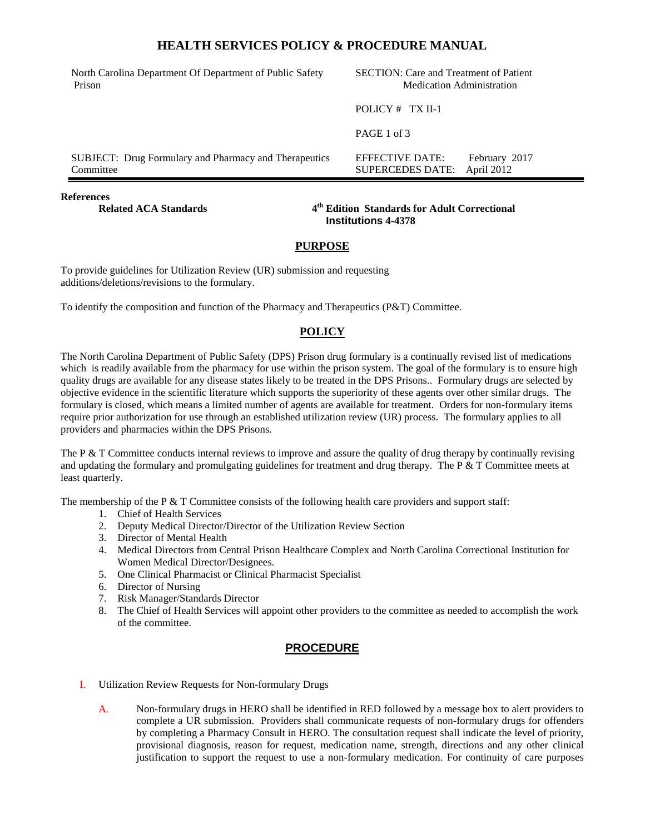# **HEALTH SERVICES POLICY & PROCEDURE MANUAL**

| North Carolina Department Of Department of Public Safety<br>Prison | <b>SECTION:</b> Care and Treatment of Patient<br><b>Medication Administration</b> |  |
|--------------------------------------------------------------------|-----------------------------------------------------------------------------------|--|
|                                                                    | POLICY $#$ TX II-1                                                                |  |
|                                                                    | PAGE 1 of 3                                                                       |  |
| SUBJECT: Drug Formulary and Pharmacy and Therapeutics<br>Committee | EFFECTIVE DATE:<br>February 2017<br>April 2012<br><b>SUPERCEDES DATE:</b>         |  |
|                                                                    |                                                                                   |  |

#### **References**

**Related ACA Standards 4**

**th Edition Standards for Adult Correctional Institutions 4-4378**

#### **PURPOSE**

To provide guidelines for Utilization Review (UR) submission and requesting additions/deletions/revisions to the formulary.

To identify the composition and function of the Pharmacy and Therapeutics (P&T) Committee.

### **POLICY**

The North Carolina Department of Public Safety (DPS) Prison drug formulary is a continually revised list of medications which is readily available from the pharmacy for use within the prison system. The goal of the formulary is to ensure high quality drugs are available for any disease states likely to be treated in the DPS Prisons.. Formulary drugs are selected by objective evidence in the scientific literature which supports the superiority of these agents over other similar drugs. The formulary is closed, which means a limited number of agents are available for treatment. Orders for non-formulary items require prior authorization for use through an established utilization review (UR) process. The formulary applies to all providers and pharmacies within the DPS Prisons.

The P  $\&$  T Committee conducts internal reviews to improve and assure the quality of drug therapy by continually revising and updating the formulary and promulgating guidelines for treatment and drug therapy. The  $P \& T$  Committee meets at least quarterly.

The membership of the P & T Committee consists of the following health care providers and support staff:

- 1. Chief of Health Services
- 2. Deputy Medical Director/Director of the Utilization Review Section
- 3. Director of Mental Health
- 4. Medical Directors from Central Prison Healthcare Complex and North Carolina Correctional Institution for Women Medical Director/Designees.
- 5. One Clinical Pharmacist or Clinical Pharmacist Specialist
- 6. Director of Nursing
- 7. Risk Manager/Standards Director
- 8. The Chief of Health Services will appoint other providers to the committee as needed to accomplish the work of the committee.

# **PROCEDURE**

- I. Utilization Review Requests for Non-formulary Drugs
	- A. Non-formulary drugs in HERO shall be identified in RED followed by a message box to alert providers to complete a UR submission. Providers shall communicate requests of non-formulary drugs for offenders by completing a Pharmacy Consult in HERO. The consultation request shall indicate the level of priority, provisional diagnosis, reason for request, medication name, strength, directions and any other clinical justification to support the request to use a non-formulary medication. For continuity of care purposes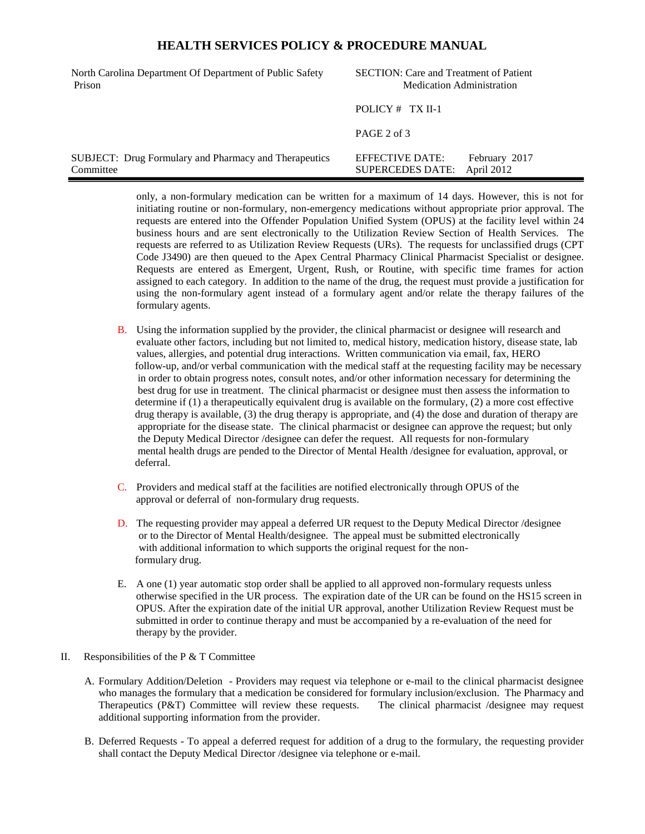## **HEALTH SERVICES POLICY & PROCEDURE MANUAL**

| North Carolina Department Of Department of Public Safety<br>Prison        | <b>SECTION:</b> Care and Treatment of Patient<br><b>Medication Administration</b> |  |
|---------------------------------------------------------------------------|-----------------------------------------------------------------------------------|--|
|                                                                           | POLICY $#$ TX II-1                                                                |  |
|                                                                           | $PAGE$ 2 of 3                                                                     |  |
| <b>SUBJECT:</b> Drug Formulary and Pharmacy and Therapeutics<br>Committee | EFFECTIVE DATE:<br>February 2017<br>April 2012<br><b>SUPERCEDES DATE:</b>         |  |

only, a non-formulary medication can be written for a maximum of 14 days. However, this is not for initiating routine or non-formulary, non-emergency medications without appropriate prior approval. The requests are entered into the Offender Population Unified System (OPUS) at the facility level within 24 business hours and are sent electronically to the Utilization Review Section of Health Services. The requests are referred to as Utilization Review Requests (URs). The requests for unclassified drugs (CPT Code J3490) are then queued to the Apex Central Pharmacy Clinical Pharmacist Specialist or designee. Requests are entered as Emergent, Urgent, Rush, or Routine, with specific time frames for action assigned to each category. In addition to the name of the drug, the request must provide a justification for using the non-formulary agent instead of a formulary agent and/or relate the therapy failures of the formulary agents.

- B. Using the information supplied by the provider, the clinical pharmacist or designee will research and evaluate other factors, including but not limited to, medical history, medication history, disease state, lab values, allergies, and potential drug interactions. Written communication via email, fax, HERO follow-up, and/or verbal communication with the medical staff at the requesting facility may be necessary in order to obtain progress notes, consult notes, and/or other information necessary for determining the best drug for use in treatment. The clinical pharmacist or designee must then assess the information to determine if (1) a therapeutically equivalent drug is available on the formulary, (2) a more cost effective drug therapy is available, (3) the drug therapy is appropriate, and (4) the dose and duration of therapy are appropriate for the disease state. The clinical pharmacist or designee can approve the request; but only the Deputy Medical Director /designee can defer the request. All requests for non-formulary mental health drugs are pended to the Director of Mental Health /designee for evaluation, approval, or deferral.
- C. Providers and medical staff at the facilities are notified electronically through OPUS of the approval or deferral of non-formulary drug requests.
- D. The requesting provider may appeal a deferred UR request to the Deputy Medical Director /designee or to the Director of Mental Health/designee. The appeal must be submitted electronically with additional information to which supports the original request for the non formulary drug.
- E. A one (1) year automatic stop order shall be applied to all approved non-formulary requests unless otherwise specified in the UR process. The expiration date of the UR can be found on the HS15 screen in OPUS. After the expiration date of the initial UR approval, another Utilization Review Request must be submitted in order to continue therapy and must be accompanied by a re-evaluation of the need for therapy by the provider.
- II. Responsibilities of the P  $&$  T Committee
	- A. Formulary Addition/Deletion Providers may request via telephone or e-mail to the clinical pharmacist designee who manages the formulary that a medication be considered for formulary inclusion/exclusion. The Pharmacy and Therapeutics (P&T) Committee will review these requests. The clinical pharmacist /designee may request additional supporting information from the provider.
	- B. Deferred Requests To appeal a deferred request for addition of a drug to the formulary, the requesting provider shall contact the Deputy Medical Director /designee via telephone or e-mail.